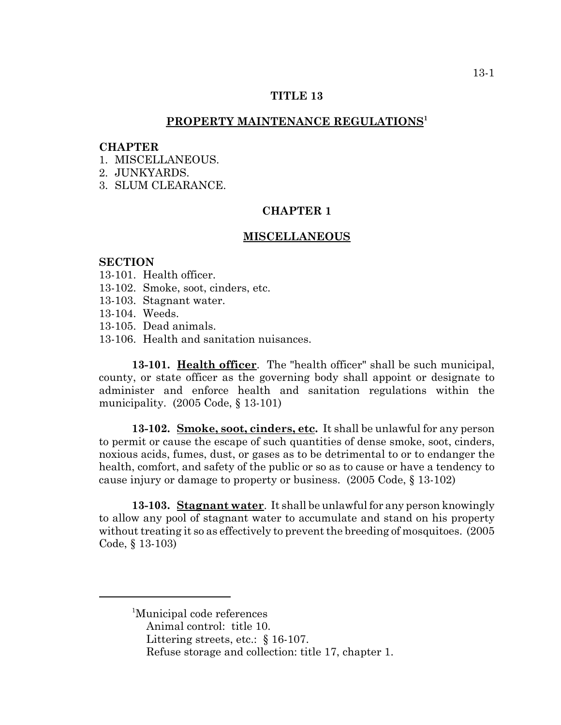## **TITLE 13**

## **PROPERTY MAINTENANCE REGULATIONS1**

#### **CHAPTER**

1 MISCELLANEOUS

2. JUNKYARDS.

3. SLUM CLEARANCE.

# **CHAPTER 1**

#### **MISCELLANEOUS**

#### **SECTION**

- 13-101. Health officer.
- 13-102. Smoke, soot, cinders, etc.
- 13-103. Stagnant water.
- 13-104. Weeds.
- 13-105. Dead animals.
- 13-106. Health and sanitation nuisances.

**13-101. Health officer**. The "health officer" shall be such municipal, county, or state officer as the governing body shall appoint or designate to administer and enforce health and sanitation regulations within the municipality. (2005 Code, § 13-101)

**13-102. Smoke, soot, cinders, etc.** It shall be unlawful for any person to permit or cause the escape of such quantities of dense smoke, soot, cinders, noxious acids, fumes, dust, or gases as to be detrimental to or to endanger the health, comfort, and safety of the public or so as to cause or have a tendency to cause injury or damage to property or business. (2005 Code, § 13-102)

**13-103. Stagnant water**. It shall be unlawful for any person knowingly to allow any pool of stagnant water to accumulate and stand on his property without treating it so as effectively to prevent the breeding of mosquitoes. (2005 Code, § 13-103)

<sup>1</sup>Municipal code references

- Animal control: title 10.
- Littering streets, etc.: § 16-107.
- Refuse storage and collection: title 17, chapter 1.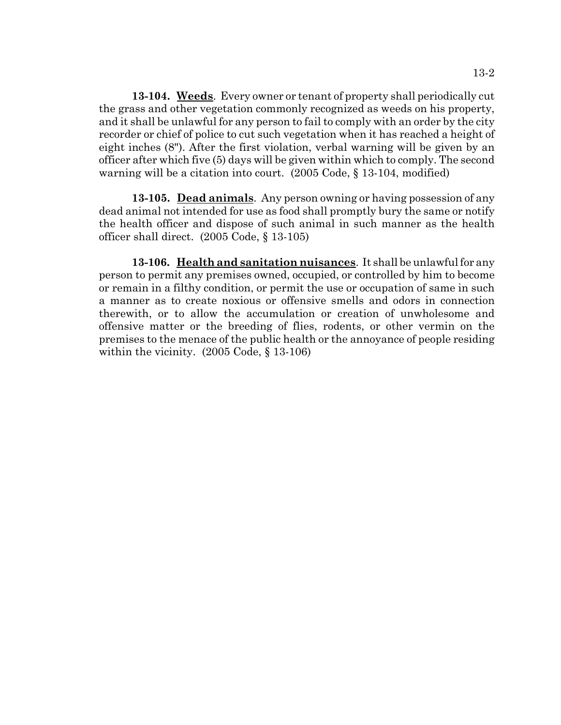**13-104. Weeds**. Every owner or tenant of property shall periodically cut the grass and other vegetation commonly recognized as weeds on his property, and it shall be unlawful for any person to fail to comply with an order by the city recorder or chief of police to cut such vegetation when it has reached a height of eight inches (8"). After the first violation, verbal warning will be given by an officer after which five (5) days will be given within which to comply. The second warning will be a citation into court. (2005 Code, § 13-104, modified)

**13-105. Dead animals**. Any person owning or having possession of any dead animal not intended for use as food shall promptly bury the same or notify the health officer and dispose of such animal in such manner as the health officer shall direct. (2005 Code, § 13-105)

**13-106. Health and sanitation nuisances**. It shall be unlawful for any person to permit any premises owned, occupied, or controlled by him to become or remain in a filthy condition, or permit the use or occupation of same in such a manner as to create noxious or offensive smells and odors in connection therewith, or to allow the accumulation or creation of unwholesome and offensive matter or the breeding of flies, rodents, or other vermin on the premises to the menace of the public health or the annoyance of people residing within the vicinity. (2005 Code, § 13-106)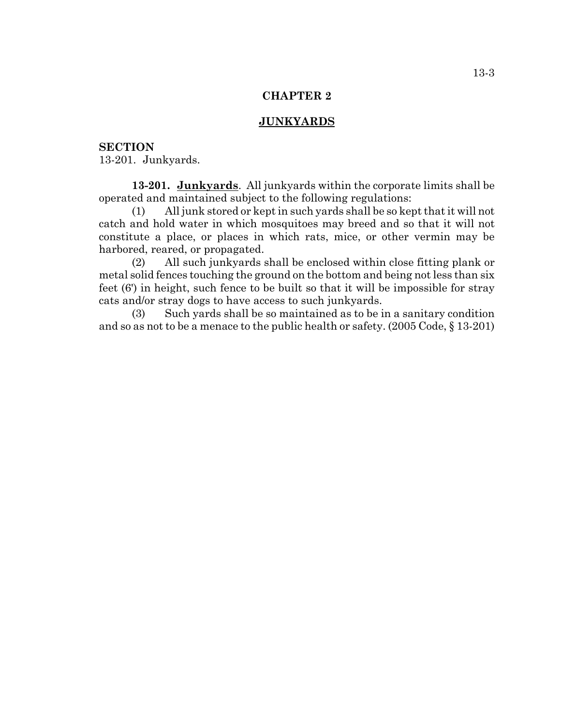## **CHAPTER 2**

#### **JUNKYARDS**

## **SECTION**

13-201. Junkyards.

**13-201. Junkyards**. All junkyards within the corporate limits shall be operated and maintained subject to the following regulations:

(1) All junk stored or kept in such yards shall be so kept that it will not catch and hold water in which mosquitoes may breed and so that it will not constitute a place, or places in which rats, mice, or other vermin may be harbored, reared, or propagated.

(2) All such junkyards shall be enclosed within close fitting plank or metal solid fences touching the ground on the bottom and being not less than six feet (6') in height, such fence to be built so that it will be impossible for stray cats and/or stray dogs to have access to such junkyards.

(3) Such yards shall be so maintained as to be in a sanitary condition and so as not to be a menace to the public health or safety. (2005 Code, § 13-201)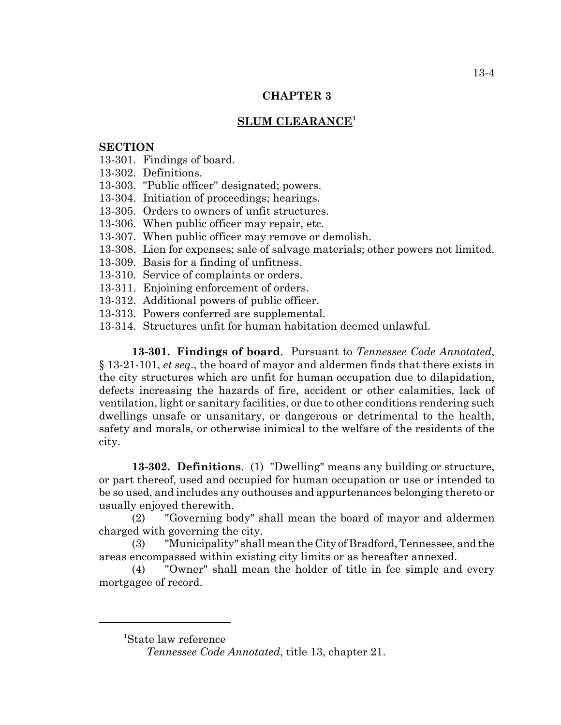# **CHAPTER 3**

# **SLUM CLEARANCE<sup>1</sup>**

# **SECTION**

13-301. Findings of board.

13-302. Definitions.

13-303. "Public officer" designated; powers.

13-304. Initiation of proceedings; hearings.

13-305. Orders to owners of unfit structures.

13-306. When public officer may repair, etc.

13-307. When public officer may remove or demolish.

13-308. Lien for expenses; sale of salvage materials; other powers not limited.

13-309. Basis for a finding of unfitness.

13-310. Service of complaints or orders.

13-311. Enjoining enforcement of orders.

13-312. Additional powers of public officer.

13-313. Powers conferred are supplemental.

13-314. Structures unfit for human habitation deemed unlawful.

**13-301. Findings of board**. Pursuant to *Tennessee Code Annotated*, § 13-21-101, *et seq*., the board of mayor and aldermen finds that there exists in the city structures which are unfit for human occupation due to dilapidation, defects increasing the hazards of fire, accident or other calamities, lack of ventilation, light or sanitary facilities, or due to other conditions rendering such dwellings unsafe or unsanitary, or dangerous or detrimental to the health, safety and morals, or otherwise inimical to the welfare of the residents of the city.

**13-302. Definitions**. (1) "Dwelling" means any building or structure, or part thereof, used and occupied for human occupation or use or intended to be so used, and includes any outhouses and appurtenances belonging thereto or usually enjoyed therewith.

(2) "Governing body" shall mean the board of mayor and aldermen charged with governing the city.

(3) "Municipality" shall mean the City of Bradford, Tennessee, and the areas encompassed within existing city limits or as hereafter annexed.

(4) "Owner" shall mean the holder of title in fee simple and every mortgagee of record.

<sup>1</sup> State law reference

*Tennessee Code Annotated*, title 13, chapter 21.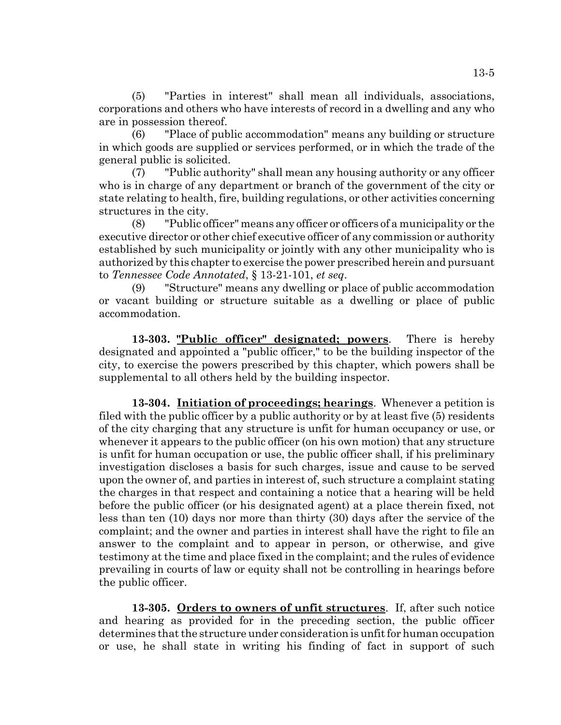(5) "Parties in interest" shall mean all individuals, associations, corporations and others who have interests of record in a dwelling and any who are in possession thereof.

(6) "Place of public accommodation" means any building or structure in which goods are supplied or services performed, or in which the trade of the general public is solicited.

(7) "Public authority" shall mean any housing authority or any officer who is in charge of any department or branch of the government of the city or state relating to health, fire, building regulations, or other activities concerning structures in the city.

(8) "Public officer" means any officer or officers of a municipality or the executive director or other chief executive officer of any commission or authority established by such municipality or jointly with any other municipality who is authorized by this chapter to exercise the power prescribed herein and pursuant to *Tennessee Code Annotated*, § 13-21-101, *et seq*.

(9) "Structure" means any dwelling or place of public accommodation or vacant building or structure suitable as a dwelling or place of public accommodation.

**13-303. "Public officer" designated; powers**. There is hereby designated and appointed a "public officer," to be the building inspector of the city, to exercise the powers prescribed by this chapter, which powers shall be supplemental to all others held by the building inspector.

**13-304. Initiation of proceedings; hearings**. Whenever a petition is filed with the public officer by a public authority or by at least five (5) residents of the city charging that any structure is unfit for human occupancy or use, or whenever it appears to the public officer (on his own motion) that any structure is unfit for human occupation or use, the public officer shall, if his preliminary investigation discloses a basis for such charges, issue and cause to be served upon the owner of, and parties in interest of, such structure a complaint stating the charges in that respect and containing a notice that a hearing will be held before the public officer (or his designated agent) at a place therein fixed, not less than ten (10) days nor more than thirty (30) days after the service of the complaint; and the owner and parties in interest shall have the right to file an answer to the complaint and to appear in person, or otherwise, and give testimony at the time and place fixed in the complaint; and the rules of evidence prevailing in courts of law or equity shall not be controlling in hearings before the public officer.

**13-305. Orders to owners of unfit structures**. If, after such notice and hearing as provided for in the preceding section, the public officer determines that the structure under consideration is unfit for human occupation or use, he shall state in writing his finding of fact in support of such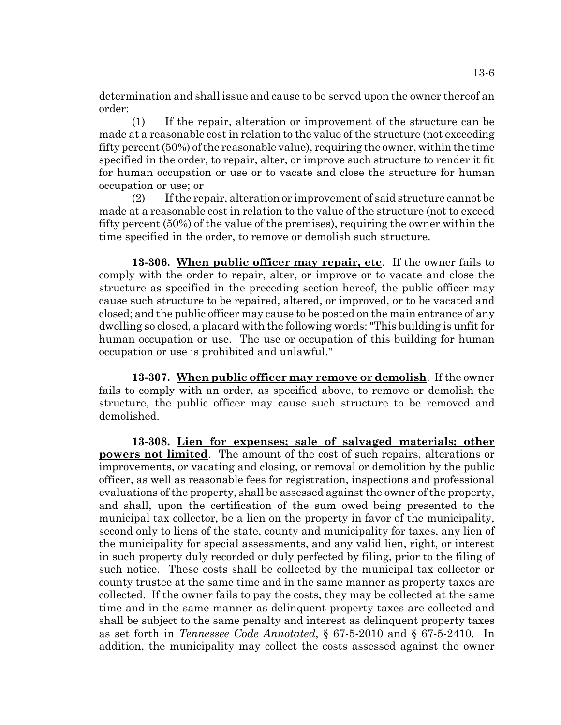determination and shall issue and cause to be served upon the owner thereof an order:

(1) If the repair, alteration or improvement of the structure can be made at a reasonable cost in relation to the value of the structure (not exceeding fifty percent (50%) of the reasonable value), requiring the owner, within the time specified in the order, to repair, alter, or improve such structure to render it fit for human occupation or use or to vacate and close the structure for human occupation or use; or

(2) If the repair, alteration or improvement of said structure cannot be made at a reasonable cost in relation to the value of the structure (not to exceed fifty percent (50%) of the value of the premises), requiring the owner within the time specified in the order, to remove or demolish such structure.

**13-306. When public officer may repair, etc**. If the owner fails to comply with the order to repair, alter, or improve or to vacate and close the structure as specified in the preceding section hereof, the public officer may cause such structure to be repaired, altered, or improved, or to be vacated and closed; and the public officer may cause to be posted on the main entrance of any dwelling so closed, a placard with the following words: "This building is unfit for human occupation or use. The use or occupation of this building for human occupation or use is prohibited and unlawful."

**13-307. When public officer may remove or demolish**. If the owner fails to comply with an order, as specified above, to remove or demolish the structure, the public officer may cause such structure to be removed and demolished.

**13-308. Lien for expenses; sale of salvaged materials; other powers not limited**. The amount of the cost of such repairs, alterations or improvements, or vacating and closing, or removal or demolition by the public officer, as well as reasonable fees for registration, inspections and professional evaluations of the property, shall be assessed against the owner of the property, and shall, upon the certification of the sum owed being presented to the municipal tax collector, be a lien on the property in favor of the municipality, second only to liens of the state, county and municipality for taxes, any lien of the municipality for special assessments, and any valid lien, right, or interest in such property duly recorded or duly perfected by filing, prior to the filing of such notice. These costs shall be collected by the municipal tax collector or county trustee at the same time and in the same manner as property taxes are collected. If the owner fails to pay the costs, they may be collected at the same time and in the same manner as delinquent property taxes are collected and shall be subject to the same penalty and interest as delinquent property taxes as set forth in *Tennessee Code Annotated*, § 67-5-2010 and § 67-5-2410. In addition, the municipality may collect the costs assessed against the owner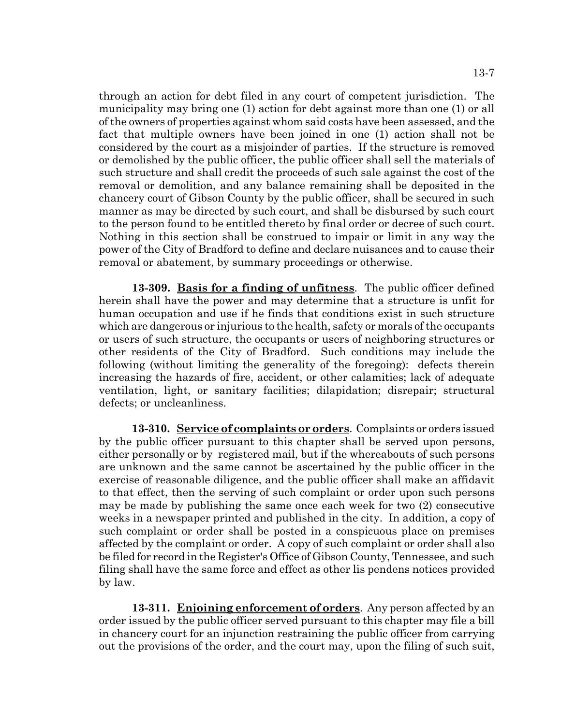through an action for debt filed in any court of competent jurisdiction. The municipality may bring one (1) action for debt against more than one (1) or all of the owners of properties against whom said costs have been assessed, and the fact that multiple owners have been joined in one (1) action shall not be considered by the court as a misjoinder of parties. If the structure is removed or demolished by the public officer, the public officer shall sell the materials of such structure and shall credit the proceeds of such sale against the cost of the removal or demolition, and any balance remaining shall be deposited in the chancery court of Gibson County by the public officer, shall be secured in such manner as may be directed by such court, and shall be disbursed by such court to the person found to be entitled thereto by final order or decree of such court. Nothing in this section shall be construed to impair or limit in any way the power of the City of Bradford to define and declare nuisances and to cause their removal or abatement, by summary proceedings or otherwise.

**13-309. Basis for a finding of unfitness**. The public officer defined herein shall have the power and may determine that a structure is unfit for human occupation and use if he finds that conditions exist in such structure which are dangerous or injurious to the health, safety or morals of the occupants or users of such structure, the occupants or users of neighboring structures or other residents of the City of Bradford. Such conditions may include the following (without limiting the generality of the foregoing): defects therein increasing the hazards of fire, accident, or other calamities; lack of adequate ventilation, light, or sanitary facilities; dilapidation; disrepair; structural defects; or uncleanliness.

**13-310. Service of complaints or orders**. Complaints or orders issued by the public officer pursuant to this chapter shall be served upon persons, either personally or by registered mail, but if the whereabouts of such persons are unknown and the same cannot be ascertained by the public officer in the exercise of reasonable diligence, and the public officer shall make an affidavit to that effect, then the serving of such complaint or order upon such persons may be made by publishing the same once each week for two (2) consecutive weeks in a newspaper printed and published in the city. In addition, a copy of such complaint or order shall be posted in a conspicuous place on premises affected by the complaint or order. A copy of such complaint or order shall also be filed for record in the Register's Office of Gibson County, Tennessee, and such filing shall have the same force and effect as other lis pendens notices provided by law.

**13-311. Enjoining enforcement of orders**. Any person affected by an order issued by the public officer served pursuant to this chapter may file a bill in chancery court for an injunction restraining the public officer from carrying out the provisions of the order, and the court may, upon the filing of such suit,